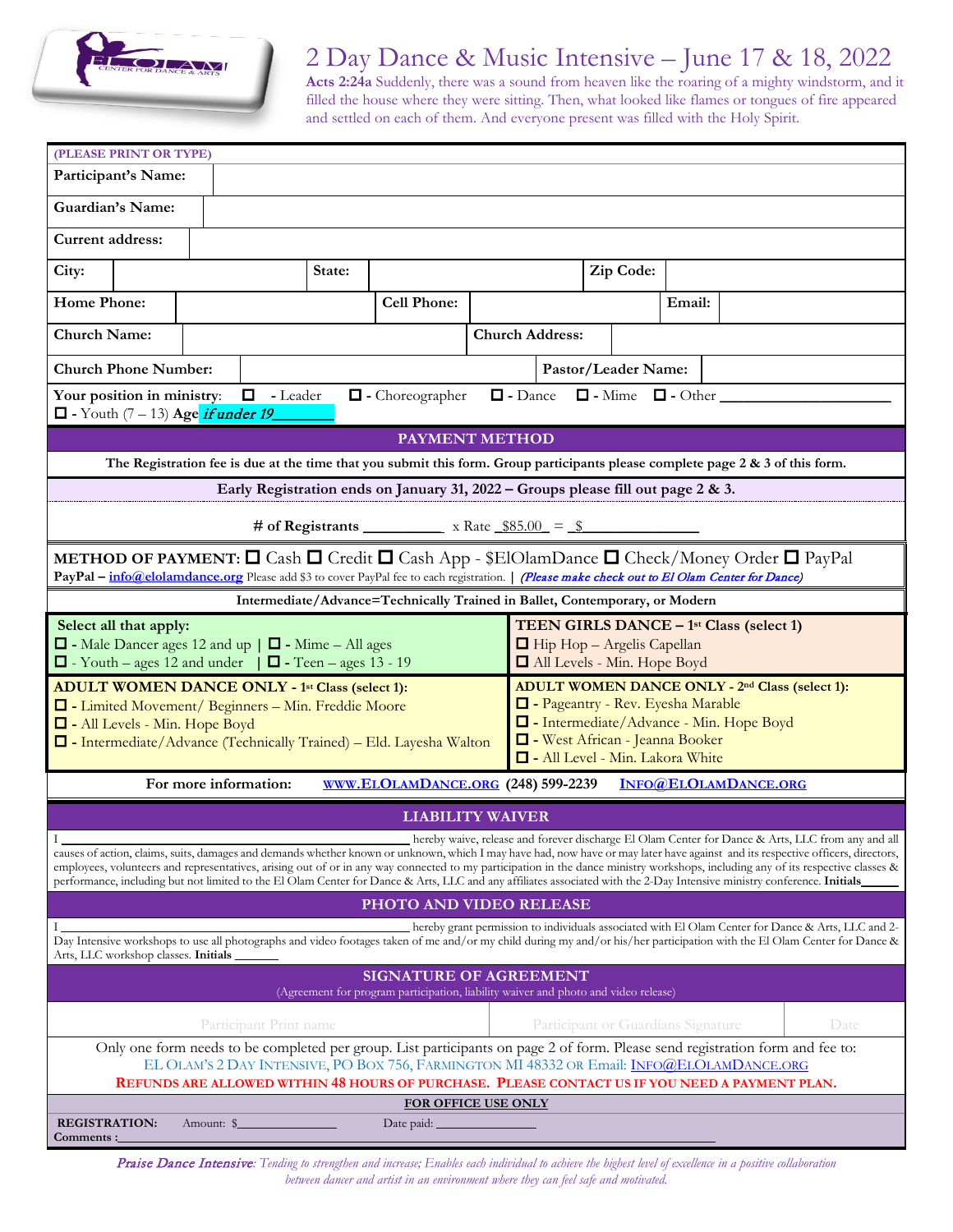

### 2 Day Dance & Music Intensive – June 17 & 18, 2022

**Acts 2:24a** Suddenly, there was a sound from heaven like the roaring of a mighty windstorm, and it filled the house where they were sitting. Then, what looked like flames or tongues of fire appeared and settled on each of them. And everyone present was filled with the Holy Spirit.

| (PLEASE PRINT OR TYPE)                                                                                                                                                                                                                                                                                                                                      |                                                                                                                                                                                 |  |                        |  |        |                                                                                            |                                |                                                                  |                        |  |                                                     |        |  |  |      |  |
|-------------------------------------------------------------------------------------------------------------------------------------------------------------------------------------------------------------------------------------------------------------------------------------------------------------------------------------------------------------|---------------------------------------------------------------------------------------------------------------------------------------------------------------------------------|--|------------------------|--|--------|--------------------------------------------------------------------------------------------|--------------------------------|------------------------------------------------------------------|------------------------|--|-----------------------------------------------------|--------|--|--|------|--|
| Participant's Name:                                                                                                                                                                                                                                                                                                                                         |                                                                                                                                                                                 |  |                        |  |        |                                                                                            |                                |                                                                  |                        |  |                                                     |        |  |  |      |  |
| <b>Guardian's Name:</b>                                                                                                                                                                                                                                                                                                                                     |                                                                                                                                                                                 |  |                        |  |        |                                                                                            |                                |                                                                  |                        |  |                                                     |        |  |  |      |  |
| <b>Current address:</b>                                                                                                                                                                                                                                                                                                                                     |                                                                                                                                                                                 |  |                        |  |        |                                                                                            |                                |                                                                  |                        |  |                                                     |        |  |  |      |  |
| City:                                                                                                                                                                                                                                                                                                                                                       |                                                                                                                                                                                 |  |                        |  | State: |                                                                                            |                                |                                                                  |                        |  | Zip Code:                                           |        |  |  |      |  |
| <b>Home Phone:</b>                                                                                                                                                                                                                                                                                                                                          |                                                                                                                                                                                 |  |                        |  |        | <b>Cell Phone:</b>                                                                         |                                |                                                                  |                        |  |                                                     | Email: |  |  |      |  |
| <b>Church Name:</b>                                                                                                                                                                                                                                                                                                                                         |                                                                                                                                                                                 |  |                        |  |        |                                                                                            |                                |                                                                  | <b>Church Address:</b> |  |                                                     |        |  |  |      |  |
| <b>Church Phone Number:</b><br>Pastor/Leader Name:                                                                                                                                                                                                                                                                                                          |                                                                                                                                                                                 |  |                        |  |        |                                                                                            |                                |                                                                  |                        |  |                                                     |        |  |  |      |  |
| □ - Leader<br>$\Box$ - Dance $\Box$ - Mime $\Box$ - Other<br>Your position in ministry:<br>$\Box$ - Choreographer<br>$\Box$ - Youth (7 – 13) Age <i>if under 19</i>                                                                                                                                                                                         |                                                                                                                                                                                 |  |                        |  |        |                                                                                            |                                |                                                                  |                        |  |                                                     |        |  |  |      |  |
|                                                                                                                                                                                                                                                                                                                                                             |                                                                                                                                                                                 |  |                        |  |        |                                                                                            |                                |                                                                  |                        |  |                                                     |        |  |  |      |  |
|                                                                                                                                                                                                                                                                                                                                                             | <b>PAYMENT METHOD</b><br>The Registration fee is due at the time that you submit this form. Group participants please complete page $2 \& 3$ of this form.                      |  |                        |  |        |                                                                                            |                                |                                                                  |                        |  |                                                     |        |  |  |      |  |
|                                                                                                                                                                                                                                                                                                                                                             |                                                                                                                                                                                 |  |                        |  |        |                                                                                            |                                |                                                                  |                        |  |                                                     |        |  |  |      |  |
|                                                                                                                                                                                                                                                                                                                                                             |                                                                                                                                                                                 |  |                        |  |        | Early Registration ends on January 31, 2022 - Groups please fill out page 2 & 3.           |                                |                                                                  |                        |  |                                                     |        |  |  |      |  |
|                                                                                                                                                                                                                                                                                                                                                             |                                                                                                                                                                                 |  |                        |  |        | # of Registrants $\frac{\text{Excess} + \text{Excess}}{2}$ x Rate $\frac{\$85.00}{2} = \$$ |                                |                                                                  |                        |  |                                                     |        |  |  |      |  |
| <b>METHOD OF PAYMENT:</b> $\Box$ Cash $\Box$ Credit $\Box$ Cash App - \$ElOlamDance $\Box$ Check/Money Order $\Box$ PayPal<br>PayPal - info@elolamdance.org Please add \$3 to cover PayPal fee to each registration.   (Please make check out to El Olam Center for Dance)                                                                                  |                                                                                                                                                                                 |  |                        |  |        |                                                                                            |                                |                                                                  |                        |  |                                                     |        |  |  |      |  |
|                                                                                                                                                                                                                                                                                                                                                             |                                                                                                                                                                                 |  |                        |  |        | Intermediate/Advance=Technically Trained in Ballet, Contemporary, or Modern                |                                |                                                                  |                        |  |                                                     |        |  |  |      |  |
| Select all that apply:                                                                                                                                                                                                                                                                                                                                      |                                                                                                                                                                                 |  |                        |  |        |                                                                                            |                                |                                                                  |                        |  | TEEN GIRLS DANCE - 1 <sup>st</sup> Class (select 1) |        |  |  |      |  |
| $\Box$ - Male Dancer ages 12 and up $\Box$ - Mime - All ages<br>$\Box$ - Youth – ages 12 and under $\Box$ - Teen – ages 13 - 19                                                                                                                                                                                                                             |                                                                                                                                                                                 |  |                        |  |        |                                                                                            |                                | $\Box$ Hip Hop - Argelis Capellan<br>All Levels - Min. Hope Boyd |                        |  |                                                     |        |  |  |      |  |
| <b>ADULT WOMEN DANCE ONLY - 1st Class (select 1):</b>                                                                                                                                                                                                                                                                                                       |                                                                                                                                                                                 |  |                        |  |        | ADULT WOMEN DANCE ONLY - 2 <sup>nd</sup> Class (select 1):                                 |                                |                                                                  |                        |  |                                                     |        |  |  |      |  |
| - Limited Movement/ Beginners - Min. Freddie Moore                                                                                                                                                                                                                                                                                                          |                                                                                                                                                                                 |  |                        |  |        | - Pageantry - Rev. Eyesha Marable<br>- Intermediate/Advance - Min. Hope Boyd               |                                |                                                                  |                        |  |                                                     |        |  |  |      |  |
| - All Levels - Min. Hope Boyd<br>□ - Intermediate/Advance (Technically Trained) – Eld. Layesha Walton                                                                                                                                                                                                                                                       |                                                                                                                                                                                 |  |                        |  |        |                                                                                            | - West African - Jeanna Booker |                                                                  |                        |  |                                                     |        |  |  |      |  |
| - All Level - Min. Lakora White                                                                                                                                                                                                                                                                                                                             |                                                                                                                                                                                 |  |                        |  |        |                                                                                            |                                |                                                                  |                        |  |                                                     |        |  |  |      |  |
| For more information:<br>WWW.ELOLAMDANCE.ORG (248) 599-2239<br>INFO@ELOLAMDANCE.ORG                                                                                                                                                                                                                                                                         |                                                                                                                                                                                 |  |                        |  |        |                                                                                            |                                |                                                                  |                        |  |                                                     |        |  |  |      |  |
| <b>LIABILITY WAIVER</b>                                                                                                                                                                                                                                                                                                                                     |                                                                                                                                                                                 |  |                        |  |        |                                                                                            |                                |                                                                  |                        |  |                                                     |        |  |  |      |  |
|                                                                                                                                                                                                                                                                                                                                                             | hereby waive, release and forever discharge El Olam Center for Dance & Arts, LLC from any and all                                                                               |  |                        |  |        |                                                                                            |                                |                                                                  |                        |  |                                                     |        |  |  |      |  |
|                                                                                                                                                                                                                                                                                                                                                             | causes of action, claims, suits, damages and demands whether known or unknown, which I may have had, now have or may later have against and its respective officers, directors, |  |                        |  |        |                                                                                            |                                |                                                                  |                        |  |                                                     |        |  |  |      |  |
| employees, volunteers and representatives, arising out of or in any way connected to my participation in the dance ministry workshops, including any of its respective classes &<br>performance, including but not limited to the El Olam Center for Dance & Arts, LLC and any affiliates associated with the 2-Day Intensive ministry conference. Initials |                                                                                                                                                                                 |  |                        |  |        |                                                                                            |                                |                                                                  |                        |  |                                                     |        |  |  |      |  |
| PHOTO AND VIDEO RELEASE                                                                                                                                                                                                                                                                                                                                     |                                                                                                                                                                                 |  |                        |  |        |                                                                                            |                                |                                                                  |                        |  |                                                     |        |  |  |      |  |
| hereby grant permission to individuals associated with El Olam Center for Dance & Arts, LLC and 2-<br>Day Intensive workshops to use all photographs and video footages taken of me and/or my child during my and/or his/her participation with the El Olam Center for Dance &<br>Arts, LLC workshop classes. Initials                                      |                                                                                                                                                                                 |  |                        |  |        |                                                                                            |                                |                                                                  |                        |  |                                                     |        |  |  |      |  |
| <b>SIGNATURE OF AGREEMENT</b><br>(Agreement for program participation, liability waiver and photo and video release)                                                                                                                                                                                                                                        |                                                                                                                                                                                 |  |                        |  |        |                                                                                            |                                |                                                                  |                        |  |                                                     |        |  |  |      |  |
|                                                                                                                                                                                                                                                                                                                                                             |                                                                                                                                                                                 |  |                        |  |        |                                                                                            |                                |                                                                  |                        |  |                                                     |        |  |  |      |  |
|                                                                                                                                                                                                                                                                                                                                                             |                                                                                                                                                                                 |  | Participant Print name |  |        |                                                                                            |                                |                                                                  |                        |  | Participant or Guardians Signature                  |        |  |  | Date |  |
| Only one form needs to be completed per group. List participants on page 2 of form. Please send registration form and fee to:                                                                                                                                                                                                                               |                                                                                                                                                                                 |  |                        |  |        |                                                                                            |                                |                                                                  |                        |  |                                                     |        |  |  |      |  |
| EL OLAM'S 2 DAY INTENSIVE, PO BOX 756, FARMINGTON MI 48332 OR Email: INFO@ELOLAMDANCE.ORG<br>REFUNDS ARE ALLOWED WITHIN 48 HOURS OF PURCHASE. PLEASE CONTACT US IF YOU NEED A PAYMENT PLAN.                                                                                                                                                                 |                                                                                                                                                                                 |  |                        |  |        |                                                                                            |                                |                                                                  |                        |  |                                                     |        |  |  |      |  |
|                                                                                                                                                                                                                                                                                                                                                             |                                                                                                                                                                                 |  |                        |  |        | <b>FOR OFFICE USE ONLY</b>                                                                 |                                |                                                                  |                        |  |                                                     |        |  |  |      |  |
| <b>REGISTRATION:</b><br>Amount: \$<br>Comments :                                                                                                                                                                                                                                                                                                            |                                                                                                                                                                                 |  |                        |  |        |                                                                                            |                                |                                                                  |                        |  |                                                     |        |  |  |      |  |

Praise Dance Intensive*: Tending to strengthen and increase; Enables each individual to achieve the highest level of excellence in a positive collaboration between dancer and artist in an environment where they can feel safe and motivated.*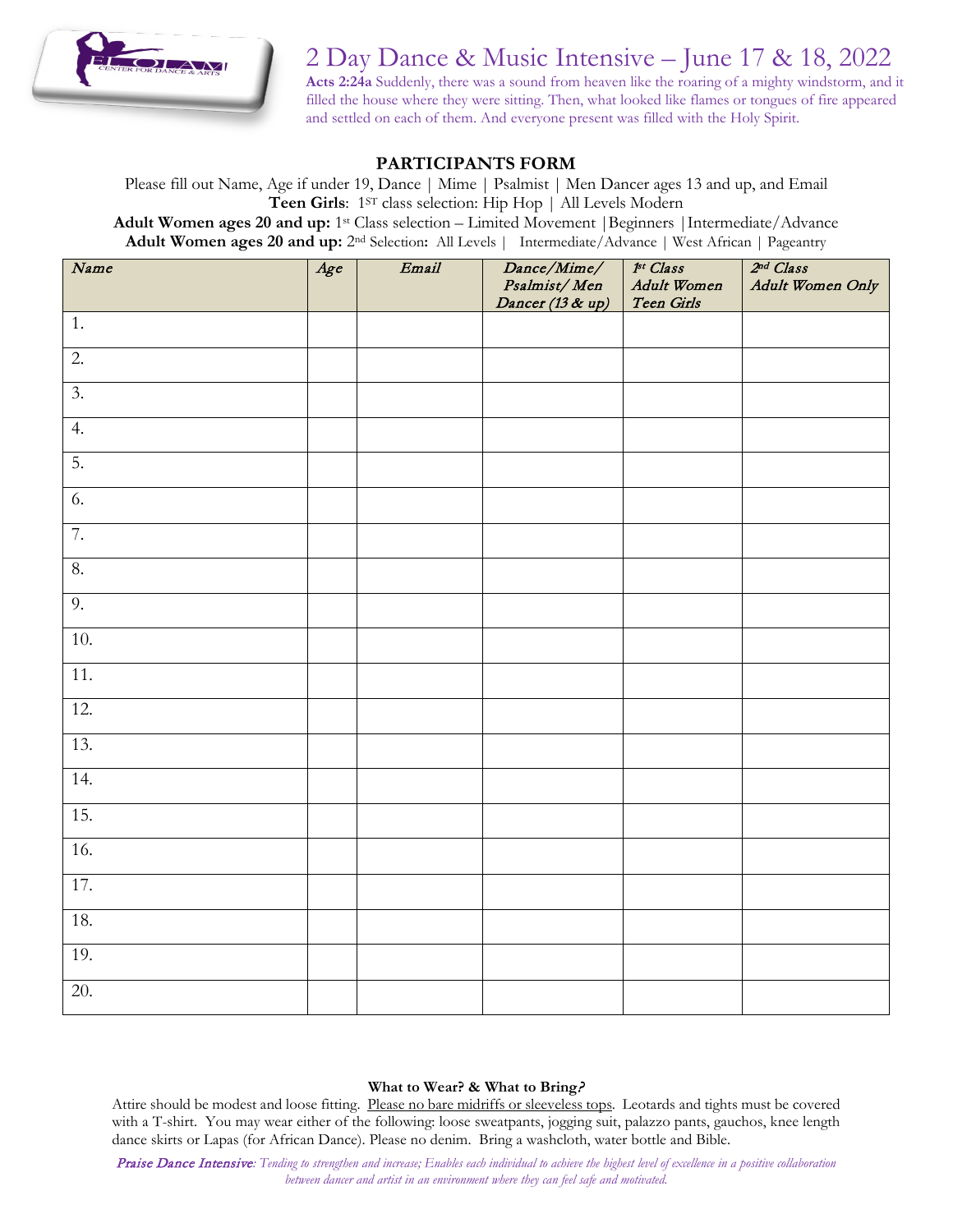

# 2 Day Dance & Music Intensive – June 17 & 18, 2022

**Acts 2:24a** Suddenly, there was a sound from heaven like the roaring of a mighty windstorm, and it filled the house where they were sitting. Then, what looked like flames or tongues of fire appeared and settled on each of them. And everyone present was filled with the Holy Spirit.

#### **PARTICIPANTS FORM**

Please fill out Name, Age if under 19, Dance | Mime | Psalmist | Men Dancer ages 13 and up, and Email **Teen Girls**: 1ST class selection: Hip Hop | All Levels Modern **Adult Women ages 20 and up:** 1st Class selection – Limited Movement |Beginners |Intermediate/Advance **Adult Women ages 20 and up:** 2nd Selection**:** All Levels | Intermediate/Advance | West African | Pageantry

| Name              | Age | Email | Dance/Mime/<br>Psalmist/Men | 1st Class<br>Adult Women | 2 <sup>nd</sup> Class<br>Adult Women Only |
|-------------------|-----|-------|-----------------------------|--------------------------|-------------------------------------------|
|                   |     |       | Dancer (13 & up)            | Teen Girls               |                                           |
| 1.                |     |       |                             |                          |                                           |
| $\overline{2}$ .  |     |       |                             |                          |                                           |
| 3.                |     |       |                             |                          |                                           |
| 4.                |     |       |                             |                          |                                           |
| 5.                |     |       |                             |                          |                                           |
| 6.                |     |       |                             |                          |                                           |
| 7.                |     |       |                             |                          |                                           |
| 8.                |     |       |                             |                          |                                           |
| 9.                |     |       |                             |                          |                                           |
| 10.               |     |       |                             |                          |                                           |
| $\overline{11}$ . |     |       |                             |                          |                                           |
| 12.               |     |       |                             |                          |                                           |
| 13.               |     |       |                             |                          |                                           |
| 14.               |     |       |                             |                          |                                           |
| 15.               |     |       |                             |                          |                                           |
| 16.               |     |       |                             |                          |                                           |
| 17.               |     |       |                             |                          |                                           |
| 18.               |     |       |                             |                          |                                           |
| 19.               |     |       |                             |                          |                                           |
| 20.               |     |       |                             |                          |                                           |

#### **What to Wear? & What to Bring**?

Attire should be modest and loose fitting. Please no bare midriffs or sleeveless tops. Leotards and tights must be covered with a T-shirt. You may wear either of the following: loose sweatpants, jogging suit, palazzo pants, gauchos, knee length dance skirts or Lapas (for African Dance). Please no denim. Bring a washcloth, water bottle and Bible.